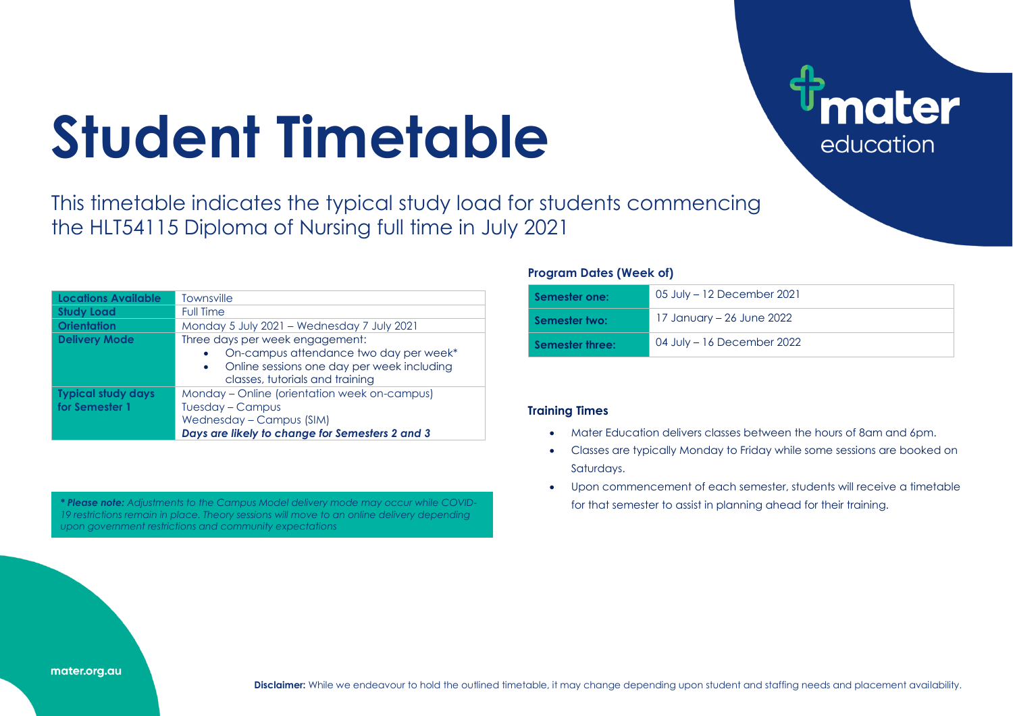# **Student Timetable**

This timetable indicates the typical study load for students commencing the HLT54115 Diploma of Nursing full time in July 2021

| Locations Available                         | <b>Townsville</b>                                                                                                                                                       |
|---------------------------------------------|-------------------------------------------------------------------------------------------------------------------------------------------------------------------------|
| <b>Study Load</b>                           | <b>Full Time</b>                                                                                                                                                        |
| <b>Orientation</b>                          | Monday 5 July 2021 - Wednesday 7 July 2021                                                                                                                              |
| <b>Delivery Mode</b>                        | Three days per week engagement:<br>On-campus attendance two day per week*<br>Online sessions one day per week including<br>$\bullet$<br>classes, tutorials and training |
| <b>Typical study days</b><br>for Semester 1 | Monday – Online (orientation week on-campus)<br>Tuesday - Campus<br>Wednesday - Campus (SIM)<br>Days are likely to change for Semesters 2 and 3                         |

\* Please note: Adjustments to the Campus Model delivery mode may occur while COVID-<br> **\* Please note:** Adjustments to the Campus Model delivery mode may occur while COVID-*19 restrictions remain in place. Theory sessions will move to an online delivery depending upon government restrictions and community expectations*

### **Program Dates (Week of)**

| Semester one:   | 05 July – 12 December 2021 |
|-----------------|----------------------------|
| Semester two:   | 17 January – 26 June 2022  |
| Semester three: | 04 July – 16 December 2022 |

**ater** 

education

## **Training Times**

- Mater Education delivers classes between the hours of 8am and 6pm.
- Classes are typically Monday to Friday while some sessions are booked on Saturdays.
- Upon commencement of each semester, students will receive a timetable

#### mater.org.au